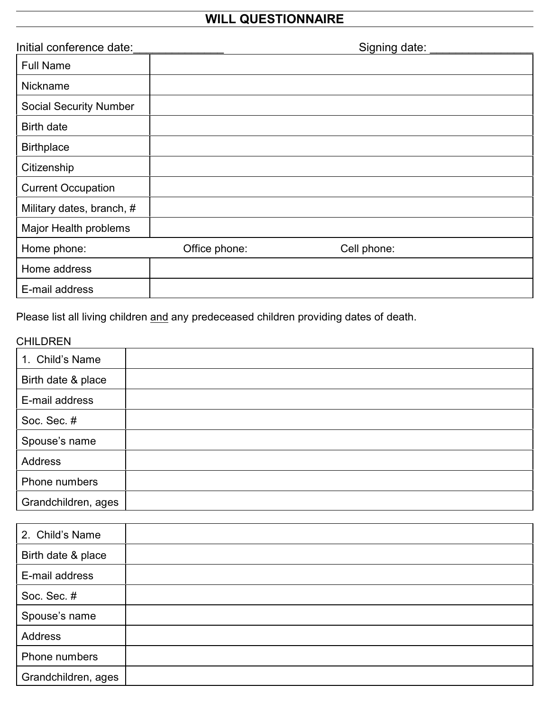## **WILL QUESTIONNAIRE**

| Initial conference date:      |               | Signing date: |
|-------------------------------|---------------|---------------|
| <b>Full Name</b>              |               |               |
| <b>Nickname</b>               |               |               |
| <b>Social Security Number</b> |               |               |
| <b>Birth date</b>             |               |               |
| <b>Birthplace</b>             |               |               |
| Citizenship                   |               |               |
| <b>Current Occupation</b>     |               |               |
| Military dates, branch, #     |               |               |
| Major Health problems         |               |               |
| Home phone:                   | Office phone: | Cell phone:   |
| Home address                  |               |               |
| E-mail address                |               |               |

Please list all living children and any predeceased children providing dates of death.

## CHILDREN

| 1. Child's Name     |  |
|---------------------|--|
| Birth date & place  |  |
| E-mail address      |  |
| Soc. Sec. #         |  |
| Spouse's name       |  |
| Address             |  |
| Phone numbers       |  |
| Grandchildren, ages |  |

| 2. Child's Name     |  |
|---------------------|--|
| Birth date & place  |  |
| E-mail address      |  |
| Soc. Sec. #         |  |
| Spouse's name       |  |
| Address             |  |
| Phone numbers       |  |
| Grandchildren, ages |  |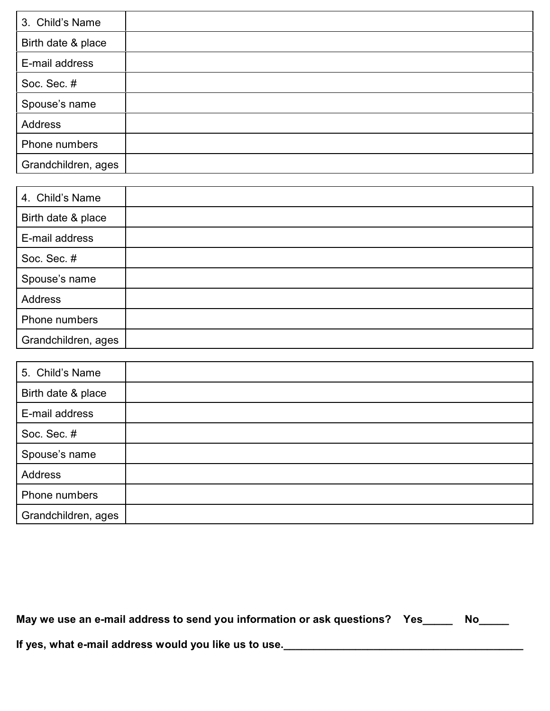| 3. Child's Name     |  |
|---------------------|--|
| Birth date & place  |  |
| E-mail address      |  |
| Soc. Sec. #         |  |
| Spouse's name       |  |
| Address             |  |
| Phone numbers       |  |
| Grandchildren, ages |  |

| 4. Child's Name     |  |
|---------------------|--|
| Birth date & place  |  |
| E-mail address      |  |
| Soc. Sec. #         |  |
| Spouse's name       |  |
| Address             |  |
| Phone numbers       |  |
| Grandchildren, ages |  |

| 5. Child's Name     |  |
|---------------------|--|
| Birth date & place  |  |
| E-mail address      |  |
| Soc. Sec. #         |  |
| Spouse's name       |  |
| Address             |  |
| Phone numbers       |  |
| Grandchildren, ages |  |

|  | May we use an e-mail address to send you information or ask questions? Yes |  | Nο |
|--|----------------------------------------------------------------------------|--|----|
|--|----------------------------------------------------------------------------|--|----|

**If yes, what e-mail address would you like us to use.\_\_\_\_\_\_\_\_\_\_\_\_\_\_\_\_\_\_\_\_\_\_\_\_\_\_\_\_\_\_\_\_\_\_\_\_\_\_\_\_**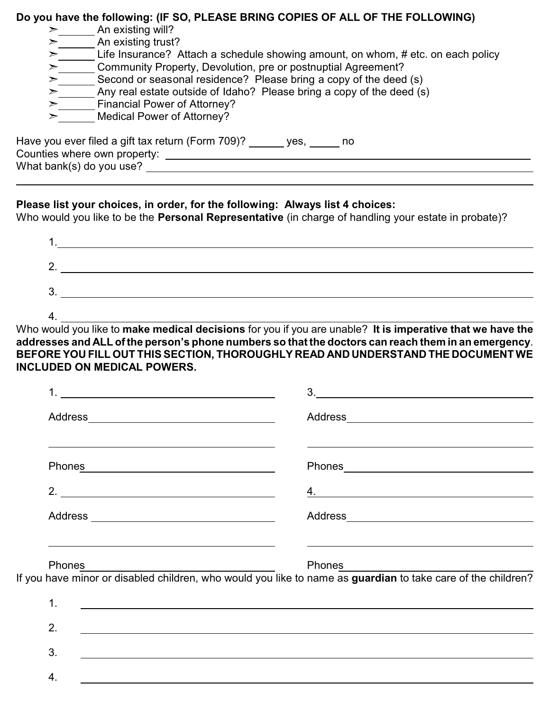## **Do you have the following: (IF SO, PLEASE BRING COPIES OF ALL OF THE FOLLOWING)**

| ➤ | An existing will?                                                                |  |  |
|---|----------------------------------------------------------------------------------|--|--|
| ➢ | An existing trust?                                                               |  |  |
| ⋗ | Life Insurance? Attach a schedule showing amount, on whom, # etc. on each policy |  |  |
| ⋗ | Community Property, Devolution, pre or postnuptial Agreement?                    |  |  |
| ⋗ | Second or seasonal residence? Please bring a copy of the deed (s)                |  |  |
| ➢ | Any real estate outside of Idaho? Please bring a copy of the deed (s)            |  |  |
| ➢ | Financial Power of Attorney?                                                     |  |  |
|   | <b>Medical Power of Attorney?</b>                                                |  |  |
|   | Have you ever filed a gift tax return (Form 709)?<br>ves.<br>no                  |  |  |
|   | Counties where own property:                                                     |  |  |
|   | What bank(s) do you use?                                                         |  |  |

## **Please list your choices, in order, for the following: Always list 4 choices:**

Who would you like to be the **Personal Representative** (in charge of handling your estate in probate)?

| . .    |  |  |
|--------|--|--|
| 2      |  |  |
| າ<br>ഄ |  |  |
|        |  |  |

4.

4.

Who would you like to **make medical decisions** for you if you are unable? **It is imperative that we have the addresses and ALL of the person's phone numbers so that the doctors can reach them in an emergency**. **BEFORE YOU FILL OUT THIS SECTION, THOROUGHLY READ AND UNDERSTAND THE DOCUMENT WE INCLUDED ON MEDICAL POWERS.**

| <u> 1980 - Johann Barbara, martxa alemaniar a</u>                      | 3.<br><u> 1989 - John Stein, Amerikaansk politiker (* 1908)</u>                                                               |
|------------------------------------------------------------------------|-------------------------------------------------------------------------------------------------------------------------------|
|                                                                        |                                                                                                                               |
|                                                                        |                                                                                                                               |
| Phones <b>Example 20</b> Phones <b>CONSUMERS</b><br>2. $\qquad \qquad$ |                                                                                                                               |
|                                                                        |                                                                                                                               |
| Phones <u>________________________</u>                                 |                                                                                                                               |
|                                                                        | Phones Phones<br>If you have minor or disabled children, who would you like to name as guardian to take care of the children? |
| 1.                                                                     |                                                                                                                               |
| 2.                                                                     |                                                                                                                               |
| 3.                                                                     |                                                                                                                               |